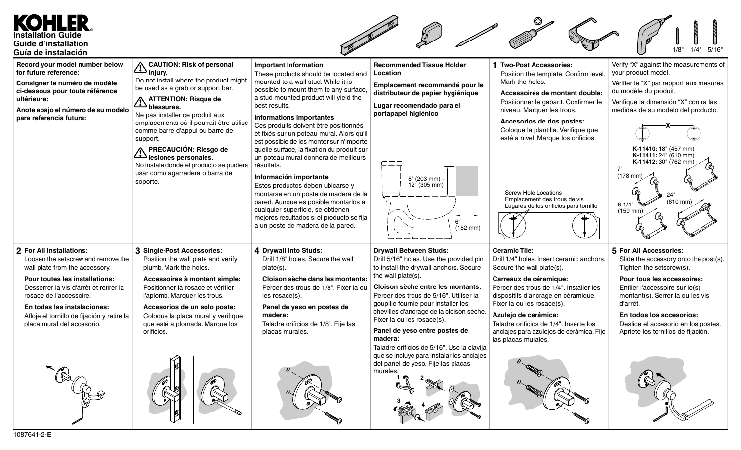